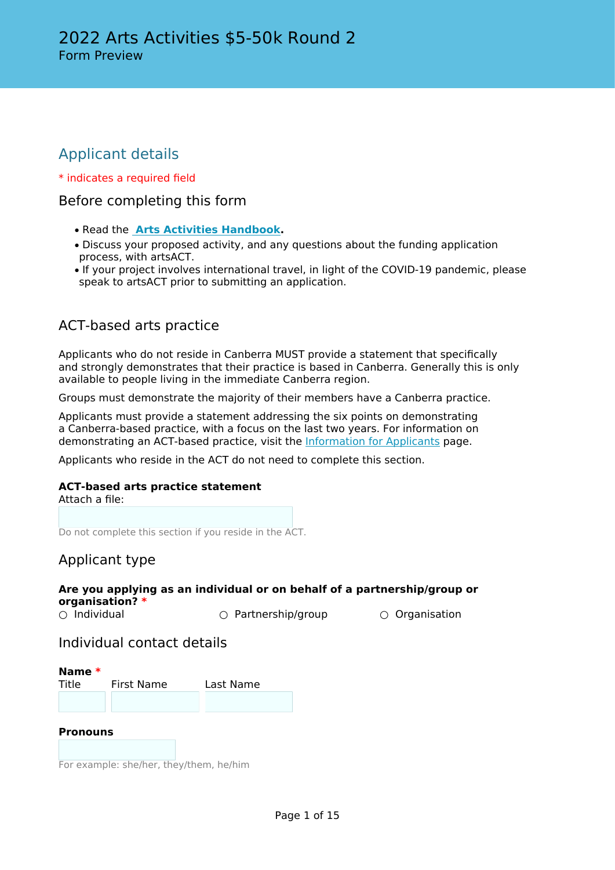# Applicant details

### \* indicates a required field

## Before completing this form

- Read the **[Arts Activities Handbook](http://www.arts.act.gov.au/funding/arts-activities-funding).**
- Discuss your proposed activity, and any questions about the funding application process, with artsACT.
- If your project involves international travel, in light of the COVID-19 pandemic, please speak to artsACT prior to submitting an application.

# ACT-based arts practice

Applicants who do not reside in Canberra MUST provide a statement that specifically and strongly demonstrates that their practice is based in Canberra. Generally this is only available to people living in the immediate Canberra region.

Groups must demonstrate the majority of their members have a Canberra practice.

Applicants must provide a statement addressing the six points on demonstrating a Canberra-based practice, with a focus on the last two years. For information on demonstrating an ACT-based practice, visit the [Information for Applicants](http://www.arts.act.gov.au/funding/information-for-applicants) page.

Applicants who reside in the ACT do not need to complete this section.

### **ACT-based arts practice statement**

Attach a file:

Do not complete this section if you reside in the ACT.

### Applicant type

| organisation? $*$  | Are you applying as an individual or on behalf of a partnership/group or |                      |
|--------------------|--------------------------------------------------------------------------|----------------------|
| $\circ$ Individual | $\circ$ Partnership/group                                                | $\circ$ Organisation |

### Individual contact details

**Name \*** Title First Name Last Name

### **Pronouns**

For example: she/her, they/them, he/him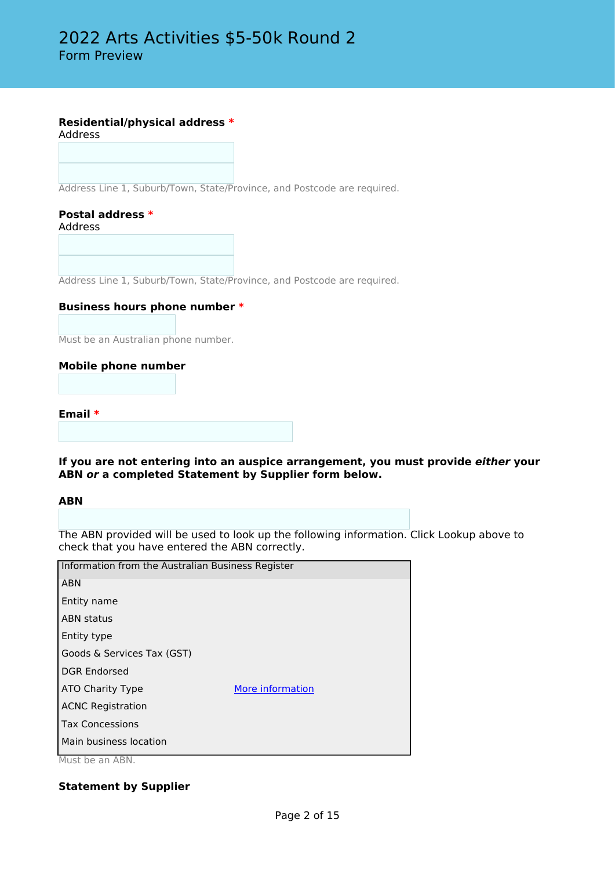### **Residential/physical address \***

Address

Address Line 1, Suburb/Town, State/Province, and Postcode are required.

#### **Postal address \*** Address

Address Line 1, Suburb/Town, State/Province, and Postcode are required.

### **Business hours phone number \***

Must be an Australian phone number.

#### **Mobile phone number**

**Email \***

#### **If you are not entering into an auspice arrangement, you must provide** *either* **your ABN** *or* **a completed Statement by Supplier form below.**

#### **ABN**

The ABN provided will be used to look up the following information. Click Lookup above to check that you have entered the ABN correctly.

| Information from the Australian Business Register |  |  |
|---------------------------------------------------|--|--|
|                                                   |  |  |
|                                                   |  |  |
|                                                   |  |  |
|                                                   |  |  |
|                                                   |  |  |
|                                                   |  |  |
| More information                                  |  |  |
|                                                   |  |  |
|                                                   |  |  |
|                                                   |  |  |
|                                                   |  |  |

Must be an ABN.

### **Statement by Supplier**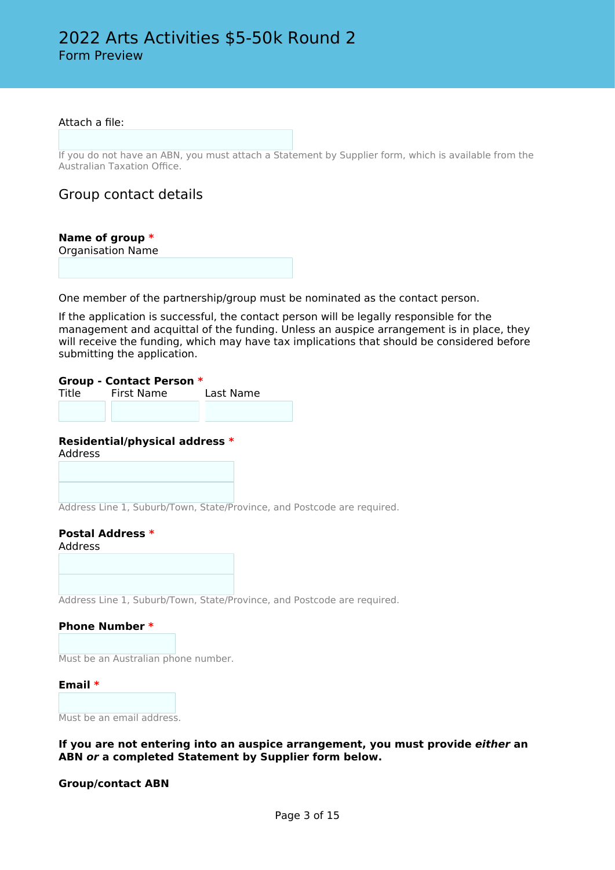#### Attach a file:

If you do not have an ABN, you must attach a Statement by Supplier form, which is available from the Australian Taxation Office.

Group contact details

### **Name of group \***

Organisation Name

One member of the partnership/group must be nominated as the contact person.

If the application is successful, the contact person will be legally responsible for the management and acquittal of the funding. Unless an auspice arrangement is in place, they will receive the funding, which may have tax implications that should be considered before submitting the application.

#### **Group - Contact Person \***

Title First Name Last Name

### **Residential/physical address \***

Address

Address Line 1, Suburb/Town, State/Province, and Postcode are required.

#### **Postal Address \*** Address

Address Line 1, Suburb/Town, State/Province, and Postcode are required.

### **Phone Number \***

Must be an Australian phone number.

#### **Email \***

Must be an email address.

#### **If you are not entering into an auspice arrangement, you must provide** *either* **an ABN** *or* **a completed Statement by Supplier form below.**

### **Group/contact ABN**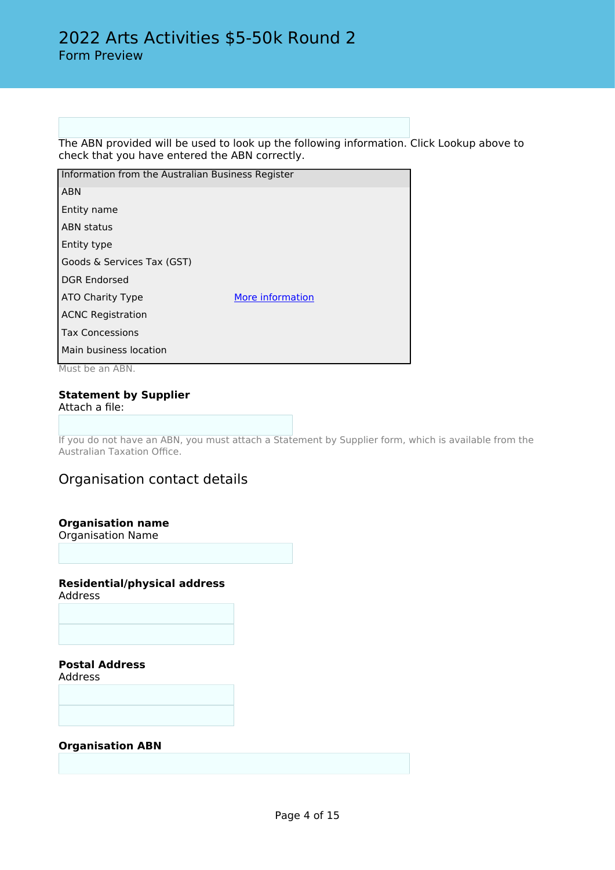The ABN provided will be used to look up the following information. Click Lookup above to check that you have entered the ABN correctly.

| Information from the Australian Business Register |                  |  |
|---------------------------------------------------|------------------|--|
| <b>ABN</b>                                        |                  |  |
| Entity name                                       |                  |  |
| <b>ABN status</b>                                 |                  |  |
| Entity type                                       |                  |  |
| Goods & Services Tax (GST)                        |                  |  |
| <b>DGR Endorsed</b>                               |                  |  |
| ATO Charity Type                                  | More information |  |
| <b>ACNC Registration</b>                          |                  |  |
| <b>Tax Concessions</b>                            |                  |  |
| Main business location                            |                  |  |

Must be an ABN.

#### **Statement by Supplier** Attach a file:

If you do not have an ABN, you must attach a Statement by Supplier form, which is available from the Australian Taxation Office.

# Organisation contact details

### **Organisation name**

Organisation Name

### **Residential/physical address**

Address

**Postal Address**

Address

**Organisation ABN**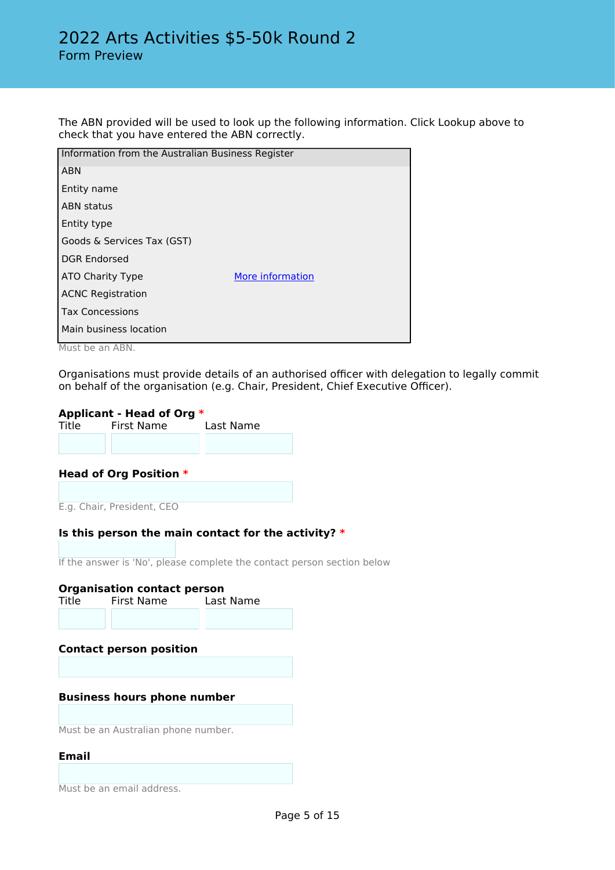The ABN provided will be used to look up the following information. Click Lookup above to check that you have entered the ABN correctly.

| Information from the Australian Business Register |                  |  |
|---------------------------------------------------|------------------|--|
| <b>ABN</b>                                        |                  |  |
| Entity name                                       |                  |  |
| <b>ABN status</b>                                 |                  |  |
| Entity type                                       |                  |  |
| Goods & Services Tax (GST)                        |                  |  |
| <b>DGR Endorsed</b>                               |                  |  |
| ATO Charity Type                                  | More information |  |
| <b>ACNC Registration</b>                          |                  |  |
| <b>Tax Concessions</b>                            |                  |  |
| Main business location                            |                  |  |
|                                                   |                  |  |

Must be an ABN.

Organisations must provide details of an authorised officer with delegation to legally commit on behalf of the organisation (e.g. Chair, President, Chief Executive Officer).

**Applicant - Head of Org \*** Title First Name

### **Head of Org Position \***

E.g. Chair, President, CEO

### **Is this person the main contact for the activity? \***

If the answer is 'No', please complete the contact person section below

| Title                              | <b>Organisation contact person</b><br>First Name | Last Name |  |  |
|------------------------------------|--------------------------------------------------|-----------|--|--|
|                                    |                                                  |           |  |  |
|                                    | <b>Contact person position</b>                   |           |  |  |
|                                    |                                                  |           |  |  |
| <b>Business hours phone number</b> |                                                  |           |  |  |
|                                    |                                                  |           |  |  |
|                                    | Must be an Australian phone number.              |           |  |  |
| Email                              |                                                  |           |  |  |

Must be an email address.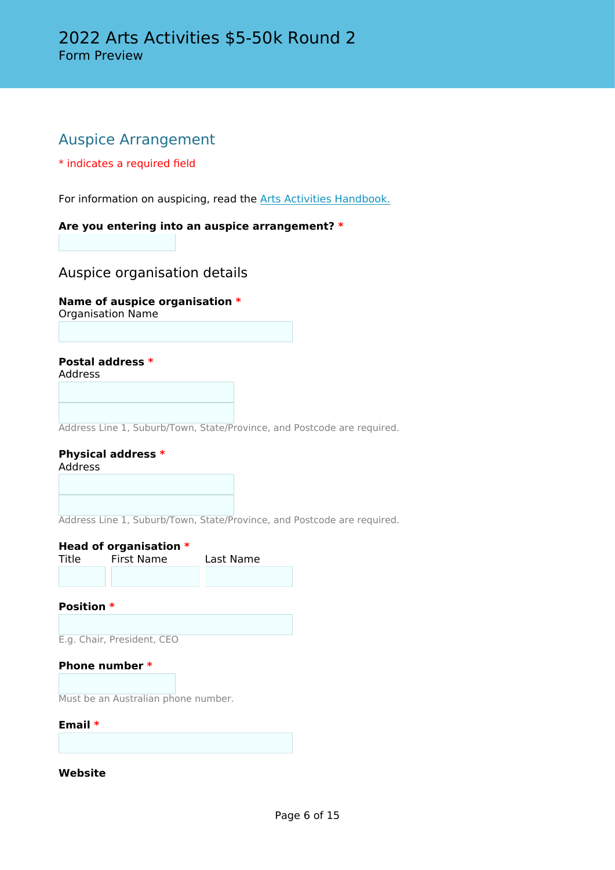# Auspice Arrangement

### \* indicates a required field

For information on auspicing, read the [Arts Activities Handbook.](http://www.arts.act.gov.au/funding/arts-activities-funding)

### **Are you entering into an auspice arrangement? \***

### Auspice organisation details

### **Name of auspice organisation \***

Organisation Name

### **Postal address \***

Address

Address Line 1, Suburb/Town, State/Province, and Postcode are required.

#### **Physical address \*** Address

Address Line 1, Suburb/Town, State/Province, and Postcode are required.

### **Head of organisation \***

| Title | First Name | Last Name |  |
|-------|------------|-----------|--|
|       |            |           |  |

### **Position \***

E.g. Chair, President, CEO

### **Phone number \***

Must be an Australian phone number.

#### **Email \***

**Website**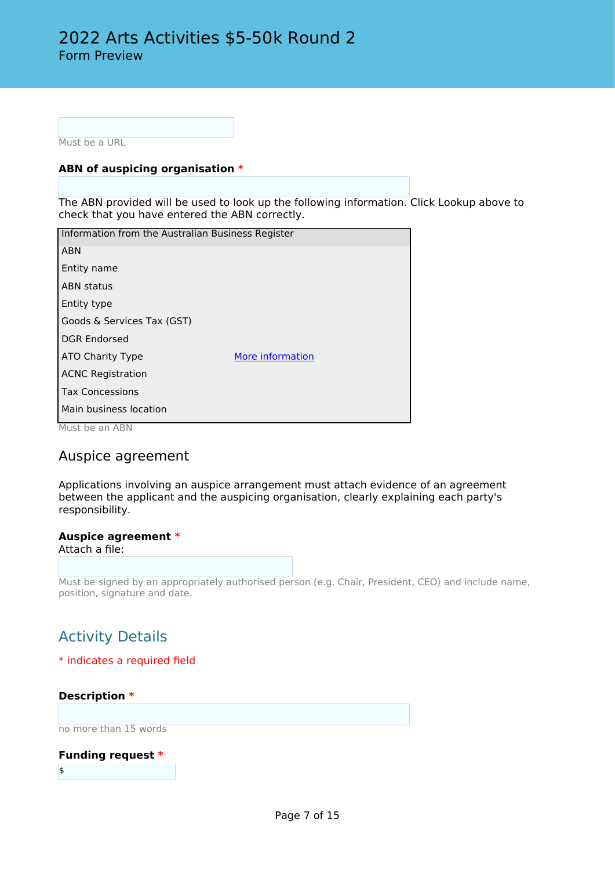Must be a URL

### **ABN of auspicing organisation \***

The ABN provided will be used to look up the following information. Click Lookup above to check that you have entered the ABN correctly.

| Information from the Australian Business Register |                  |  |
|---------------------------------------------------|------------------|--|
| <b>ABN</b>                                        |                  |  |
| Entity name                                       |                  |  |
| <b>ABN</b> status                                 |                  |  |
| Entity type                                       |                  |  |
| Goods & Services Tax (GST)                        |                  |  |
| <b>DGR Endorsed</b>                               |                  |  |
| ATO Charity Type                                  | More information |  |
| <b>ACNC Registration</b>                          |                  |  |
| <b>Tax Concessions</b>                            |                  |  |
| Main business location                            |                  |  |
| $M_{\text{tot}}$ he an ADN                        |                  |  |

Must be an ABN

### Auspice agreement

Applications involving an auspice arrangement must attach evidence of an agreement between the applicant and the auspicing organisation, clearly explaining each party's responsibility.

### **Auspice agreement \***

Attach a file:

Must be signed by an appropriately authorised person (e.g. Chair, President, CEO) and include name, position, signature and date.

# Activity Details

### \* indicates a required field

### **Description \***

no more than 15 words

### **Funding request \***

\$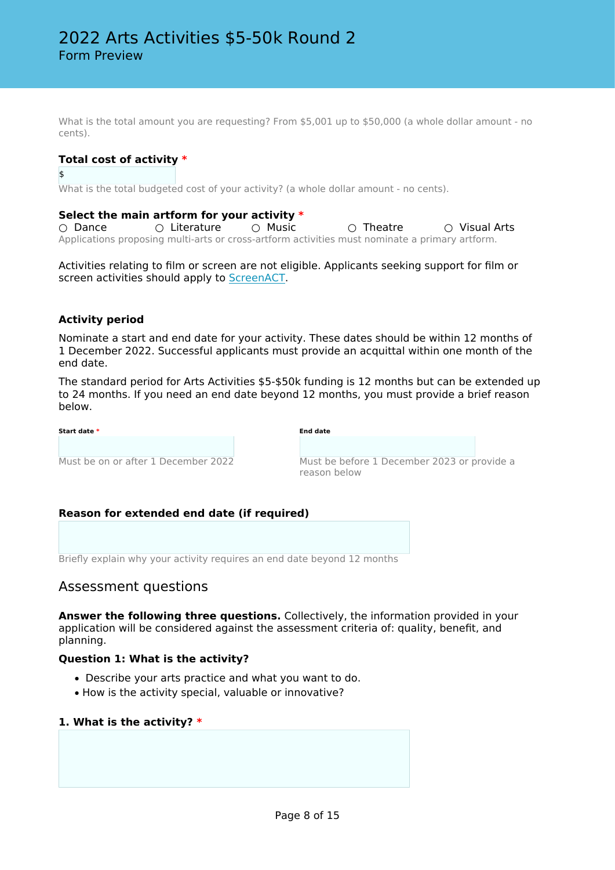What is the total amount you are requesting? From \$5,001 up to \$50,000 (a whole dollar amount - no cents).

### **Total cost of activity \***

\$

What is the total budgeted cost of your activity? (a whole dollar amount - no cents).

#### **Select the main artform for your activity \***

○ Dance ○ Literature ○ Music ○ O Theatre ○ Visual Arts Applications proposing multi-arts or cross-artform activities must nominate a primary artform.

Activities relating to film or screen are not eligible. Applicants seeking support for film or screen activities should apply to [ScreenACT](https://actsia.org.au/).

### **Activity period**

Nominate a start and end date for your activity. These dates should be within 12 months of 1 December 2022. Successful applicants must provide an acquittal within one month of the end date.

The standard period for Arts Activities \$5-\$50k funding is 12 months but can be extended up to 24 months. If you need an end date beyond 12 months, you must provide a brief reason below.

| Start date *                        | <b>End date</b>                                             |
|-------------------------------------|-------------------------------------------------------------|
| Must be on or after 1 December 2022 | Must be before 1 December 2023 or provide a<br>reason below |

### **Reason for extended end date (if required)**

Briefly explain why your activity requires an end date beyond 12 months

### Assessment questions

**Answer the following three questions.** Collectively, the information provided in your application will be considered against the assessment criteria of: quality, benefit, and planning.

### **Question 1: What is the activity?**

- Describe your arts practice and what you want to do.
- How is the activity special, valuable or innovative?

### **1. What is the activity? \***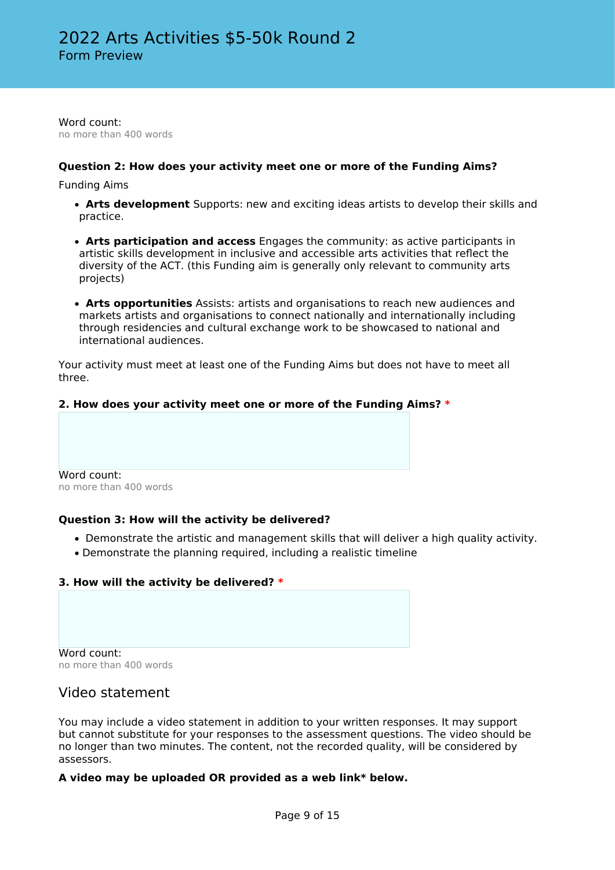Word count: no more than 400 words

### **Question 2: How does your activity meet one or more of the Funding Aims?**

Funding Aims

- • **Arts development** Supports: new and exciting ideas artists to develop their skills and practice.
- • **Arts participation and access** Engages the community: as active participants in artistic skills development in inclusive and accessible arts activities that reflect the diversity of the ACT. (this Funding aim is generally only relevant to community arts projects)
- • **Arts opportunities** Assists: artists and organisations to reach new audiences and markets artists and organisations to connect nationally and internationally including through residencies and cultural exchange work to be showcased to national and international audiences.

Your activity must meet at least one of the Funding Aims but does not have to meet all three.

### **2. How does your activity meet one or more of the Funding Aims? \***

Word count: no more than 400 words

### **Question 3: How will the activity be delivered?**

- Demonstrate the artistic and management skills that will deliver a high quality activity.
- Demonstrate the planning required, including a realistic timeline

### **3. How will the activity be delivered? \***

Word count: no more than 400 words

### Video statement

You may include a video statement in addition to your written responses. It may support but cannot substitute for your responses to the assessment questions. The video should be no longer than two minutes. The content, not the recorded quality, will be considered by assessors.

### **A video may be uploaded OR provided as a web link\* below.**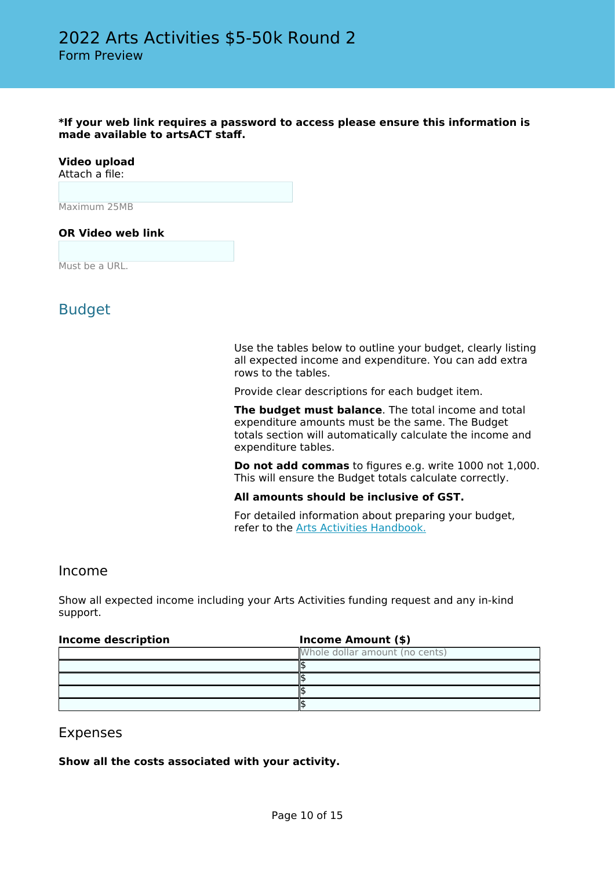**\*If your web link requires a password to access please ensure this information is made available to artsACT staff.**

# **Video upload**

Attach a file:

Maximum 25MB

### **OR Video web link**

Must be a URL.

# Budget

Use the tables below to outline your budget, clearly listing all expected income and expenditure. You can add extra rows to the tables.

Provide clear descriptions for each budget item.

**The budget must balance**. The total income and total expenditure amounts must be the same. The Budget totals section will automatically calculate the income and expenditure tables.

**Do not add commas** to figures e.g. write 1000 not 1,000. This will ensure the Budget totals calculate correctly.

### **All amounts should be inclusive of GST.**

For detailed information about preparing your budget, refer to the [Arts Activities Handbook.](http://www.arts.act.gov.au/funding/arts-activities-funding)

### Income

Show all expected income including your Arts Activities funding request and any in-kind support.

| <b>Income description</b> | <b>Income Amount (\$)</b>      |  |  |
|---------------------------|--------------------------------|--|--|
|                           | Whole dollar amount (no cents) |  |  |
|                           |                                |  |  |
|                           |                                |  |  |
|                           |                                |  |  |
|                           |                                |  |  |

### Expenses

**Show all the costs associated with your activity.**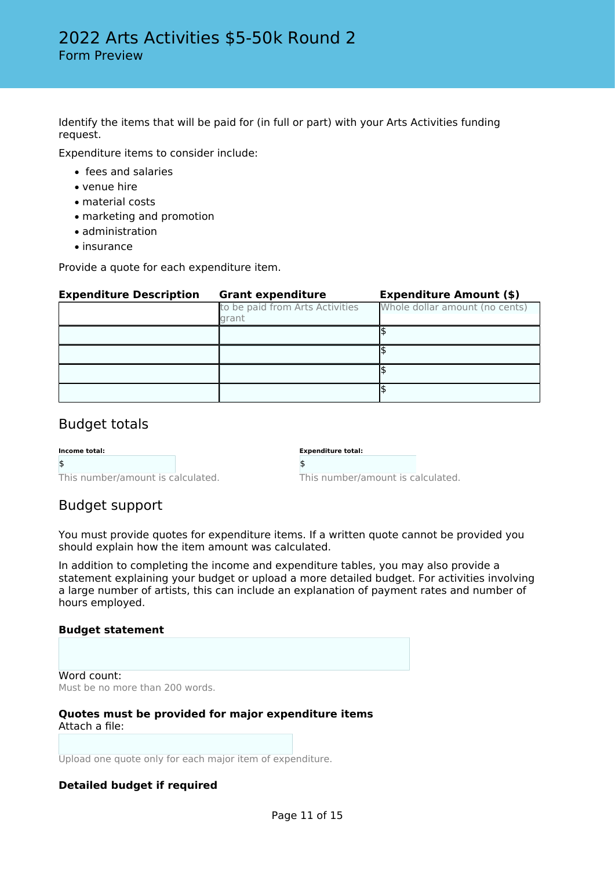Identify the items that will be paid for (in full or part) with your Arts Activities funding request.

Expenditure items to consider include:

- fees and salaries
- venue hire
- material costs
- marketing and promotion
- administration
- insurance

Provide a quote for each expenditure item.

| <b>Expenditure Description</b> | <b>Grant expenditure</b>                 | <b>Expenditure Amount (\$)</b> |
|--------------------------------|------------------------------------------|--------------------------------|
|                                | to be paid from Arts Activities<br>grant | Whole dollar amount (no cents) |
|                                |                                          |                                |
|                                |                                          |                                |
|                                |                                          |                                |
|                                |                                          |                                |

### Budget totals

| Income total: |  |
|---------------|--|
|               |  |
|               |  |

| This number/amount is calculated. |  |
|-----------------------------------|--|

| <b>Expenditure total:</b> |  |
|---------------------------|--|
| ۹,                        |  |

This number/amount is calculated.

# Budget support

You must provide quotes for expenditure items. If a written quote cannot be provided you should explain how the item amount was calculated.

In addition to completing the income and expenditure tables, you may also provide a statement explaining your budget or upload a more detailed budget. For activities involving a large number of artists, this can include an explanation of payment rates and number of hours employed.

### **Budget statement**

Word count: Must be no more than 200 words.

#### **Quotes must be provided for major expenditure items** Attach a file:

Upload one quote only for each major item of expenditure.

### **Detailed budget if required**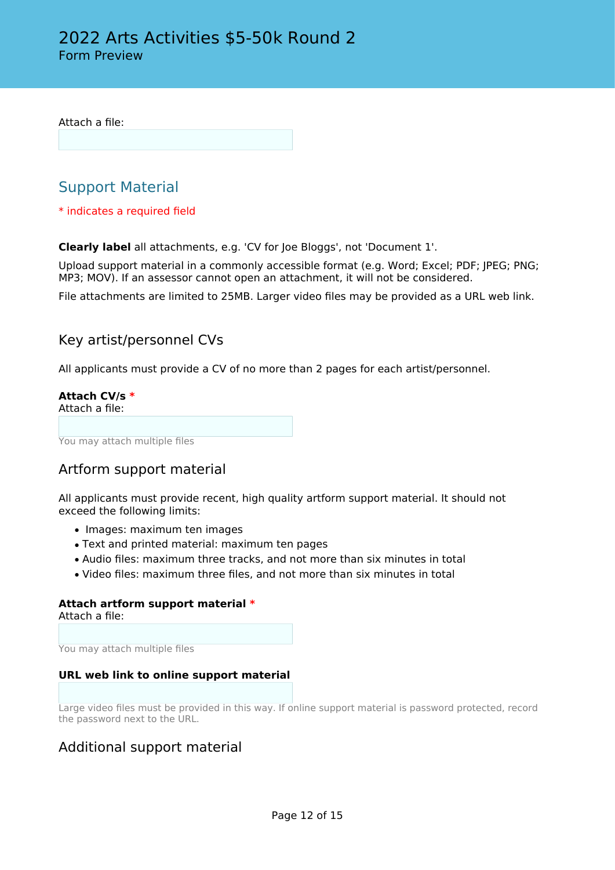Attach a file:

# Support Material

\* indicates a required field

**Clearly label** all attachments, e.g. 'CV for Joe Bloggs', not 'Document 1'.

Upload support material in a commonly accessible format (e.g. Word; Excel; PDF; JPEG; PNG; MP3; MOV). If an assessor cannot open an attachment, it will not be considered.

File attachments are limited to 25MB. Larger video files may be provided as a URL web link.

### Key artist/personnel CVs

All applicants must provide a CV of no more than 2 pages for each artist/personnel.

**Attach CV/s \*** Attach a file:

You may attach multiple files

### Artform support material

All applicants must provide recent, high quality artform support material. It should not exceed the following limits:

- Images: maximum ten images
- Text and printed material: maximum ten pages
- Audio files: maximum three tracks, and not more than six minutes in total
- Video files: maximum three files, and not more than six minutes in total

# **Attach artform support material \***

Attach a file:

You may attach multiple files

### **URL web link to online support material**

Large video files must be provided in this way. If online support material is password protected, record the password next to the URL.

### Additional support material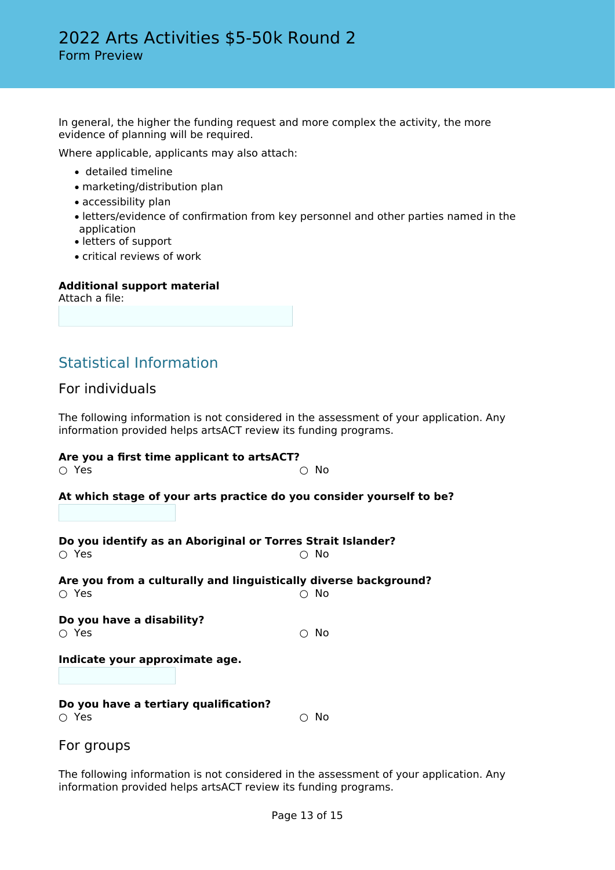In general, the higher the funding request and more complex the activity, the more evidence of planning will be required.

Where applicable, applicants may also attach:

- detailed timeline
- marketing/distribution plan
- accessibility plan
- letters/evidence of confirmation from key personnel and other parties named in the application
- letters of support
- critical reviews of work

#### **Additional support material**

Attach a file:

# Statistical Information

### For individuals

The following information is not considered in the assessment of your application. Any information provided helps artsACT review its funding programs.

### **Are you a first time applicant to artsACT?**

| ∩ Yes                                          | $\circ$ No                                                               |
|------------------------------------------------|--------------------------------------------------------------------------|
|                                                | At which stage of your arts practice do you consider yourself to be?     |
| ○ Yes                                          | Do you identify as an Aboriginal or Torres Strait Islander?<br>- No      |
| ∩ Yes                                          | Are you from a culturally and linguistically diverse background?<br>∩ No |
| Do you have a disability?<br>∩ Yes             | No<br>∩                                                                  |
| Indicate your approximate age.                 |                                                                          |
| Do you have a tertiary qualification?<br>○ Yes | No<br>∩                                                                  |
| For groups                                     |                                                                          |

The following information is not considered in the assessment of your application. Any information provided helps artsACT review its funding programs.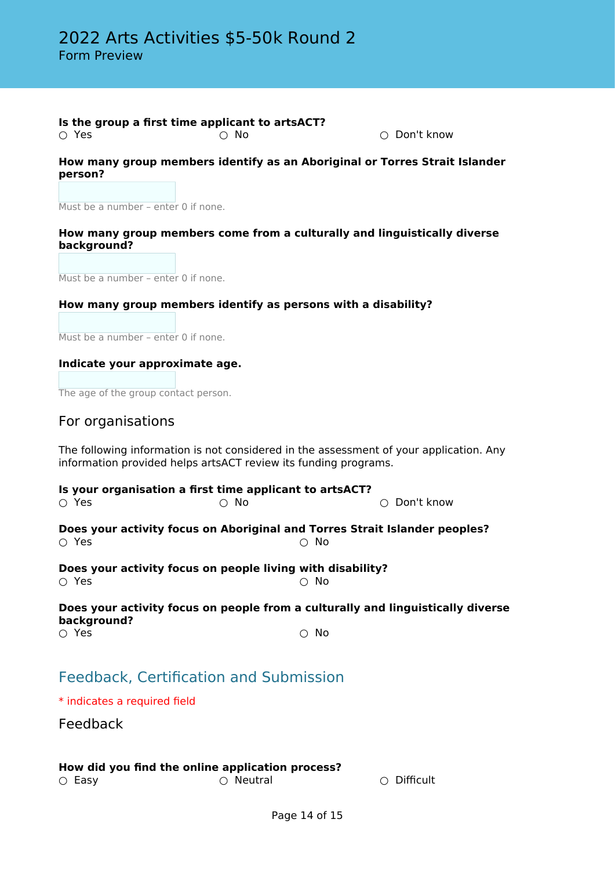#### **Is the group a first time applicant to artsACT?**<br>  $\bigcirc$  Yes  $\bigcirc$  No ○ Yes ○ No ○ Don't know

### **How many group members identify as an Aboriginal or Torres Strait Islander person?**

Must be a number – enter 0 if none.

### **How many group members come from a culturally and linguistically diverse background?**

Must be a number – enter 0 if none.

### **How many group members identify as persons with a disability?**

Must be a number – enter 0 if none.

#### **Indicate your approximate age.**

The age of the group contact person.

### For organisations

The following information is not considered in the assessment of your application. Any information provided helps artsACT review its funding programs.

#### **Is your organisation a first time applicant to artsACT?**

○ Yes ○ No ○ Don't know

**Does your activity focus on Aboriginal and Torres Strait Islander peoples?**  $\bigcirc$  Yes  $\bigcirc$  No

**Does your activity focus on people living with disability?**<br>  $\bigcirc$  Yes<br>  $\bigcirc$  No ○ Yes

### **Does your activity focus on people from a culturally and linguistically diverse background?**

 $\bigcirc$  Yes  $\bigcirc$  No

# Feedback, Certification and Submission

\* indicates a required field

Feedback

### **How did you find the online application process?**

○ Easy ○ Neutral ○ Difficult